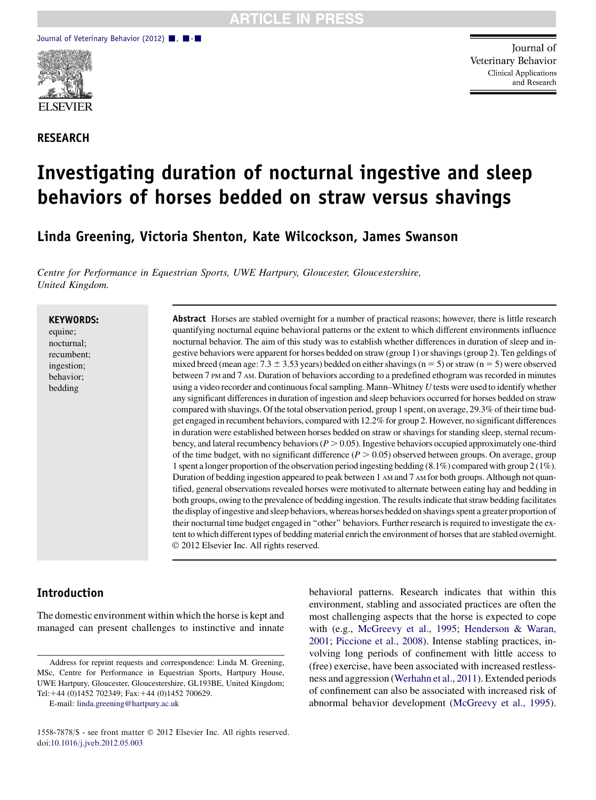

RESEARCH

Journal of Veterinary Behavior **Clinical Applications** and Research

# Investigating duration of nocturnal ingestive and sleep behaviors of horses bedded on straw versus shavings

Linda Greening, Victoria Shenton, Kate Wilcockson, James Swanson

Centre for Performance in Equestrian Sports, UWE Hartpury, Gloucester, Gloucestershire, United Kingdom.

#### KEYWORDS:

equine; nocturnal; recumbent; ingestion; behavior; bedding

Abstract Horses are stabled overnight for a number of practical reasons; however, there is little research quantifying nocturnal equine behavioral patterns or the extent to which different environments influence nocturnal behavior. The aim of this study was to establish whether differences in duration of sleep and ingestive behaviors were apparent for horses bedded on straw (group 1) or shavings (group 2). Ten geldings of mixed breed (mean age:  $7.3 \pm 3.53$  years) bedded on either shavings (n = 5) or straw (n = 5) were observed between 7 PM and 7 AM. Duration of behaviors according to a predefined ethogram was recorded in minutes using a video recorder and continuous focal sampling. Mann–Whitney  $U$  tests were used to identify whether any significant differences in duration of ingestion and sleep behaviors occurred for horses bedded on straw compared with shavings. Of the total observation period, group 1 spent, on average, 29.3% of their time budget engaged in recumbent behaviors, compared with 12.2% for group 2. However, no significant differences in duration were established between horses bedded on straw or shavings for standing sleep, sternal recumbency, and lateral recumbency behaviors ( $P > 0.05$ ). Ingestive behaviors occupied approximately one-third of the time budget, with no significant difference  $(P > 0.05)$  observed between groups. On average, group 1 spent a longer proportion of the observation period ingesting bedding (8.1%) compared with group 2 (1%). Duration of bedding ingestion appeared to peak between 1 AM and 7 AM for both groups. Although not quantified, general observations revealed horses were motivated to alternate between eating hay and bedding in both groups, owing to the prevalence of bedding ingestion. The results indicate that straw bedding facilitates the display ofingestive and sleep behaviors, whereas horses bedded on shavings spent a greater proportion of their nocturnal time budget engaged in ''other'' behaviors. Further research is required to investigate the extent to which different types of bedding material enrich the environment of horses that are stabled overnight. 2012 Elsevier Inc. All rights reserved.

## Introduction

The domestic environment within which the horse is kept and managed can present challenges to instinctive and innate

E-mail: [linda.greening@hartpury.ac.uk](mailto:linda.greening@hartpury.ac.uk)

behavioral patterns. Research indicates that within this environment, stabling and associated practices are often the most challenging aspects that the horse is expected to cope with (e.g., [McGreevy et al., 1995;](#page-4-0) [Henderson & Waran,](#page-4-0) [2001;](#page-4-0) [Piccione et al., 2008\)](#page-4-0). Intense stabling practices, involving long periods of confinement with little access to (free) exercise, have been associated with increased restlessness and aggression [\(Werhahn et al., 2011\)](#page-4-0). Extended periods of confinement can also be associated with increased risk of abnormal behavior development [\(McGreevy et al., 1995](#page-4-0)).

Address for reprint requests and correspondence: Linda M. Greening, MSc, Centre for Performance in Equestrian Sports, Hartpury House, UWE Hartpury, Gloucester, Gloucestershire, GL193BE, United Kingdom; Tel:+44 (0)1452 702349; Fax:+44 (0)1452 700629.

<sup>1558-7878/\$ -</sup> see front matter 2012 Elsevier Inc. All rights reserved. doi:[10.1016/j.jveb.2012.05.003](http://dx.doi.org/10.1016/j.jveb.2012.05.003)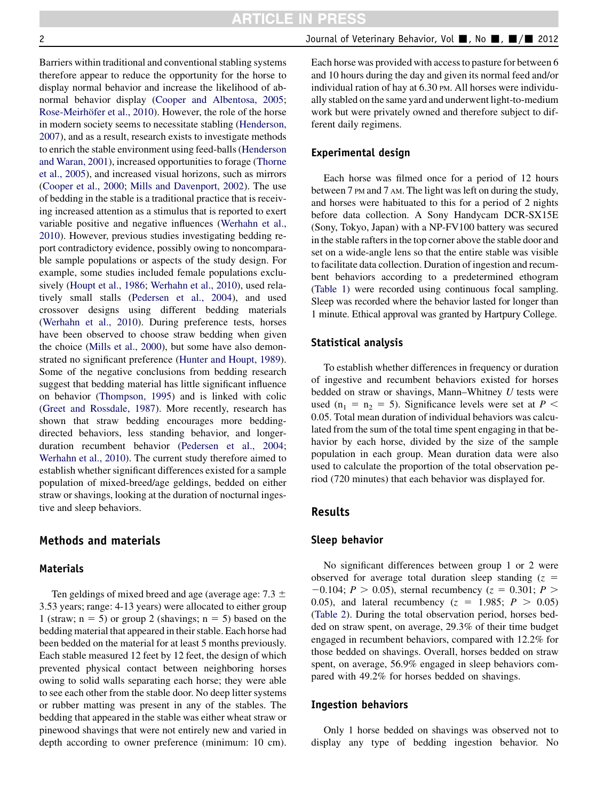Barriers within traditional and conventional stabling systems therefore appear to reduce the opportunity for the horse to display normal behavior and increase the likelihood of abnormal behavior display [\(Cooper and Albentosa, 2005](#page-4-0); Rose-Meirhöfer et al., 2010). However, the role of the horse in modern society seems to necessitate stabling [\(Henderson,](#page-4-0) [2007\)](#page-4-0), and as a result, research exists to investigate methods to enrich the stable environment using feed-balls ([Henderson](#page-4-0) [and Waran, 2001\)](#page-4-0), increased opportunities to forage [\(Thorne](#page-4-0) [et al., 2005\)](#page-4-0), and increased visual horizons, such as mirrors [\(Cooper et al., 2000](#page-4-0); [Mills and Davenport, 2002\)](#page-4-0). The use of bedding in the stable is a traditional practice that is receiving increased attention as a stimulus that is reported to exert variable positive and negative influences ([Werhahn et al.,](#page-4-0) [2010\)](#page-4-0). However, previous studies investigating bedding report contradictory evidence, possibly owing to noncomparable sample populations or aspects of the study design. For example, some studies included female populations exclusively ([Houpt et al., 1986](#page-4-0); [Werhahn et al., 2010](#page-4-0)), used relatively small stalls ([Pedersen et al., 2004](#page-4-0)), and used crossover designs using different bedding materials [\(Werhahn et al., 2010](#page-4-0)). During preference tests, horses have been observed to choose straw bedding when given the choice [\(Mills et al., 2000](#page-4-0)), but some have also demonstrated no significant preference [\(Hunter and Houpt, 1989](#page-4-0)). Some of the negative conclusions from bedding research suggest that bedding material has little significant influence on behavior ([Thompson, 1995\)](#page-4-0) and is linked with colic [\(Greet and Rossdale, 1987](#page-4-0)). More recently, research has shown that straw bedding encourages more beddingdirected behaviors, less standing behavior, and longerduration recumbent behavior [\(Pedersen et al., 2004](#page-4-0); [Werhahn et al., 2010](#page-4-0)). The current study therefore aimed to establish whether significant differences existed for a sample population of mixed-breed/age geldings, bedded on either straw or shavings, looking at the duration of nocturnal ingestive and sleep behaviors.

# Methods and materials

### Materials

Ten geldings of mixed breed and age (average age:  $7.3 \pm$ 3.53 years; range: 4-13 years) were allocated to either group 1 (straw;  $n = 5$ ) or group 2 (shavings;  $n = 5$ ) based on the bedding material that appeared in their stable. Each horse had been bedded on the material for at least 5 months previously. Each stable measured 12 feet by 12 feet, the design of which prevented physical contact between neighboring horses owing to solid walls separating each horse; they were able to see each other from the stable door. No deep litter systems or rubber matting was present in any of the stables. The bedding that appeared in the stable was either wheat straw or pinewood shavings that were not entirely new and varied in depth according to owner preference (minimum: 10 cm).

Each horse was provided with access to pasture for between 6 and 10 hours during the day and given its normal feed and/or individual ration of hay at 6.30 PM. All horses were individually stabled on the same yard and underwent light-to-medium work but were privately owned and therefore subject to different daily regimens.

## Experimental design

Each horse was filmed once for a period of 12 hours between 7 PM and 7 AM. The light was left on during the study, and horses were habituated to this for a period of 2 nights before data collection. A Sony Handycam DCR-SX15E (Sony, Tokyo, Japan) with a NP-FV100 battery was secured in the stable rafters in the top corner above the stable door and set on a wide-angle lens so that the entire stable was visible to facilitate data collection. Duration of ingestion and recumbent behaviors according to a predetermined ethogram [\(Table 1](#page-2-0)) were recorded using continuous focal sampling. Sleep was recorded where the behavior lasted for longer than 1 minute. Ethical approval was granted by Hartpury College.

#### Statistical analysis

To establish whether differences in frequency or duration of ingestive and recumbent behaviors existed for horses bedded on straw or shavings, Mann-Whitney  $U$  tests were used ( $n_1 = n_2 = 5$ ). Significance levels were set at P < 0.05. Total mean duration of individual behaviors was calculated from the sum of the total time spent engaging in that behavior by each horse, divided by the size of the sample population in each group. Mean duration data were also used to calculate the proportion of the total observation period (720 minutes) that each behavior was displayed for.

#### Results

#### Sleep behavior

No significant differences between group 1 or 2 were observed for average total duration sleep standing  $(z = 1$  $-0.104$ ;  $P > 0.05$ ), sternal recumbency ( $z = 0.301$ ;  $P >$ 0.05), and lateral recumbency ( $z = 1.985$ ;  $P > 0.05$ ) [\(Table 2\)](#page-2-0). During the total observation period, horses bedded on straw spent, on average, 29.3% of their time budget engaged in recumbent behaviors, compared with 12.2% for those bedded on shavings. Overall, horses bedded on straw spent, on average, 56.9% engaged in sleep behaviors compared with 49.2% for horses bedded on shavings.

#### Ingestion behaviors

Only 1 horse bedded on shavings was observed not to display any type of bedding ingestion behavior. No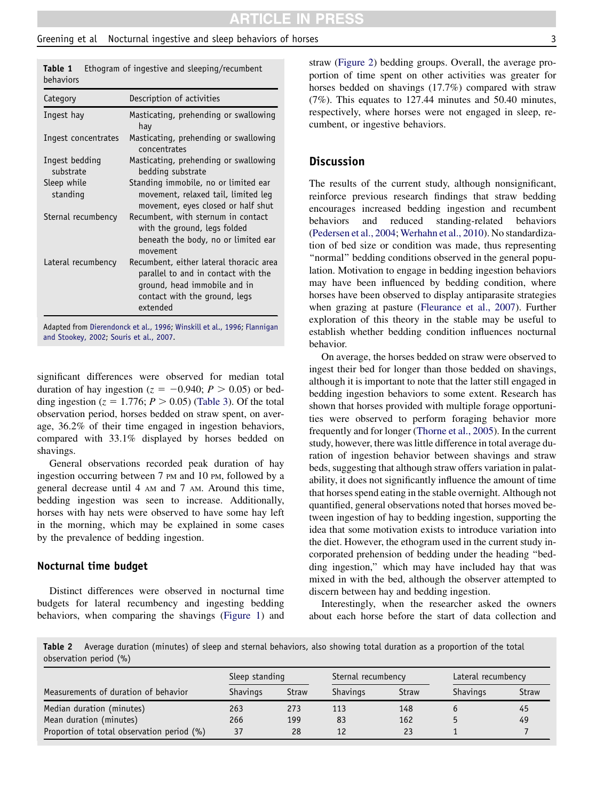## <span id="page-2-0"></span>Greening et al Mocturnal ingestive and sleep behaviors of horses 33

| Category                    | Description of activities                                                                                                                                   |
|-----------------------------|-------------------------------------------------------------------------------------------------------------------------------------------------------------|
| Ingest hay                  | Masticating, prehending or swallowing<br>hay                                                                                                                |
| Ingest concentrates         | Masticating, prehending or swallowing<br>concentrates                                                                                                       |
| Ingest bedding<br>substrate | Masticating, prehending or swallowing<br>bedding substrate                                                                                                  |
| Sleep while<br>standing     | Standing immobile, no or limited ear<br>movement, relaxed tail, limited leg<br>movement, eyes closed or half shut                                           |
| Sternal recumbency          | Recumbent, with sternum in contact<br>with the ground, legs folded<br>beneath the body, no or limited ear<br>movement                                       |
| Lateral recumbency          | Recumbent, either lateral thoracic area<br>parallel to and in contact with the<br>ground, head immobile and in<br>contact with the ground, legs<br>extended |

Table 1 Ethogram of ingestive and sleeping/recumbent

Adapted from [Dierendonck et al., 1996](#page-4-0); [Winskill et al., 1996](#page-4-0); [Flannigan](#page-4-0) [and Stookey, 2002](#page-4-0); [Souris et al., 2007](#page-4-0).

significant differences were observed for median total duration of hay ingestion ( $z = -0.940$ ;  $P > 0.05$ ) or bedding ingestion ( $z = 1.776$ ;  $P > 0.05$ ) ([Table 3\)](#page-3-0). Of the total observation period, horses bedded on straw spent, on average, 36.2% of their time engaged in ingestion behaviors, compared with 33.1% displayed by horses bedded on shavings.

General observations recorded peak duration of hay ingestion occurring between 7 PM and 10 PM, followed by a general decrease until 4 AM and 7 AM. Around this time, bedding ingestion was seen to increase. Additionally, horses with hay nets were observed to have some hay left in the morning, which may be explained in some cases by the prevalence of bedding ingestion.

#### Nocturnal time budget

Distinct differences were observed in nocturnal time budgets for lateral recumbency and ingesting bedding behaviors, when comparing the shavings [\(Figure 1](#page-3-0)) and

straw ([Figure 2](#page-3-0)) bedding groups. Overall, the average proportion of time spent on other activities was greater for horses bedded on shavings (17.7%) compared with straw (7%). This equates to 127.44 minutes and 50.40 minutes, respectively, where horses were not engaged in sleep, recumbent, or ingestive behaviors.

## **Discussion**

The results of the current study, although nonsignificant, reinforce previous research findings that straw bedding encourages increased bedding ingestion and recumbent behaviors and reduced standing-related behaviors [\(Pedersen et al., 2004;](#page-4-0) [Werhahn et al., 2010\)](#page-4-0). No standardization of bed size or condition was made, thus representing ''normal'' bedding conditions observed in the general population. Motivation to engage in bedding ingestion behaviors may have been influenced by bedding condition, where horses have been observed to display antiparasite strategies when grazing at pasture ([Fleurance et al., 2007\)](#page-4-0). Further exploration of this theory in the stable may be useful to establish whether bedding condition influences nocturnal behavior.

On average, the horses bedded on straw were observed to ingest their bed for longer than those bedded on shavings, although it is important to note that the latter still engaged in bedding ingestion behaviors to some extent. Research has shown that horses provided with multiple forage opportunities were observed to perform foraging behavior more frequently and for longer ([Thorne et al., 2005](#page-4-0)). In the current study, however, there was little difference in total average duration of ingestion behavior between shavings and straw beds, suggesting that although straw offers variation in palatability, it does not significantly influence the amount of time that horses spend eating in the stable overnight. Although not quantified, general observations noted that horses moved between ingestion of hay to bedding ingestion, supporting the idea that some motivation exists to introduce variation into the diet. However, the ethogram used in the current study incorporated prehension of bedding under the heading ''bedding ingestion,'' which may have included hay that was mixed in with the bed, although the observer attempted to discern between hay and bedding ingestion.

Interestingly, when the researcher asked the owners about each horse before the start of data collection and

Table 2 Average duration (minutes) of sleep and sternal behaviors, also showing total duration as a proportion of the total observation period (%)

|                                            | Sleep standing  |              | Sternal recumbency |              | Lateral recumbency |       |
|--------------------------------------------|-----------------|--------------|--------------------|--------------|--------------------|-------|
| Measurements of duration of behavior       | <b>Shavings</b> | <b>Straw</b> | <b>Shavings</b>    | <b>Straw</b> | <b>Shavings</b>    | Straw |
| Median duration (minutes)                  | 263             | 273          | 113                | 148          |                    | 45    |
| Mean duration (minutes)                    | 266             | 199          | 83                 | 162          |                    | 49    |
| Proportion of total observation period (%) | 37              | 28           | 12                 | 23           |                    |       |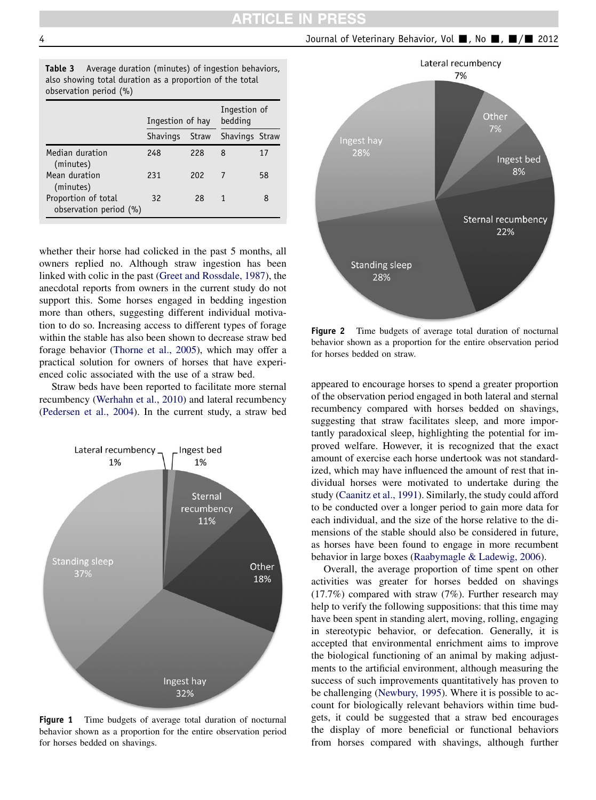Journal of Veterinary Behavior, Vol , No  $\blacksquare$ ,  $\blacksquare$ / $\blacksquare$  2012

<span id="page-3-0"></span>

| <b>Table 3</b> Average duration (minutes) of ingestion behaviors, |  |  |  |  |
|-------------------------------------------------------------------|--|--|--|--|
| also showing total duration as a proportion of the total          |  |  |  |  |
| observation period $(\% )$                                        |  |  |  |  |

|                                               | Ingestion of hay |              | Ingestion of<br>bedding |    |
|-----------------------------------------------|------------------|--------------|-------------------------|----|
|                                               | <b>Shavings</b>  | <b>Straw</b> | Shavings Straw          |    |
| Median duration<br>(minutes)                  | 248              | 228          | 8                       | 17 |
| Mean duration<br>(minutes)                    | 231              | 202          |                         | 58 |
| Proportion of total<br>observation period (%) | 32               | 28           | 1                       | 8  |

whether their horse had colicked in the past 5 months, all owners replied no. Although straw ingestion has been linked with colic in the past [\(Greet and Rossdale, 1987\)](#page-4-0), the anecdotal reports from owners in the current study do not support this. Some horses engaged in bedding ingestion more than others, suggesting different individual motivation to do so. Increasing access to different types of forage within the stable has also been shown to decrease straw bed forage behavior ([Thorne et al., 2005](#page-4-0)), which may offer a practical solution for owners of horses that have experienced colic associated with the use of a straw bed.

Straw beds have been reported to facilitate more sternal recumbency [\(Werhahn et al., 2010\)](#page-4-0) and lateral recumbency [\(Pedersen et al., 2004](#page-4-0)). In the current study, a straw bed



Figure 1 Time budgets of average total duration of nocturnal behavior shown as a proportion for the entire observation period for horses bedded on shavings.



Figure 2 Time budgets of average total duration of nocturnal behavior shown as a proportion for the entire observation period for horses bedded on straw.

appeared to encourage horses to spend a greater proportion of the observation period engaged in both lateral and sternal recumbency compared with horses bedded on shavings, suggesting that straw facilitates sleep, and more importantly paradoxical sleep, highlighting the potential for improved welfare. However, it is recognized that the exact amount of exercise each horse undertook was not standardized, which may have influenced the amount of rest that individual horses were motivated to undertake during the study [\(Caanitz et al., 1991](#page-4-0)). Similarly, the study could afford to be conducted over a longer period to gain more data for each individual, and the size of the horse relative to the dimensions of the stable should also be considered in future, as horses have been found to engage in more recumbent behavior in large boxes [\(Raabymagle & Ladewig, 2006\)](#page-4-0).

Overall, the average proportion of time spent on other activities was greater for horses bedded on shavings (17.7%) compared with straw (7%). Further research may help to verify the following suppositions: that this time may have been spent in standing alert, moving, rolling, engaging in stereotypic behavior, or defecation. Generally, it is accepted that environmental enrichment aims to improve the biological functioning of an animal by making adjustments to the artificial environment, although measuring the success of such improvements quantitatively has proven to be challenging ([Newbury, 1995](#page-4-0)). Where it is possible to account for biologically relevant behaviors within time budgets, it could be suggested that a straw bed encourages the display of more beneficial or functional behaviors from horses compared with shavings, although further